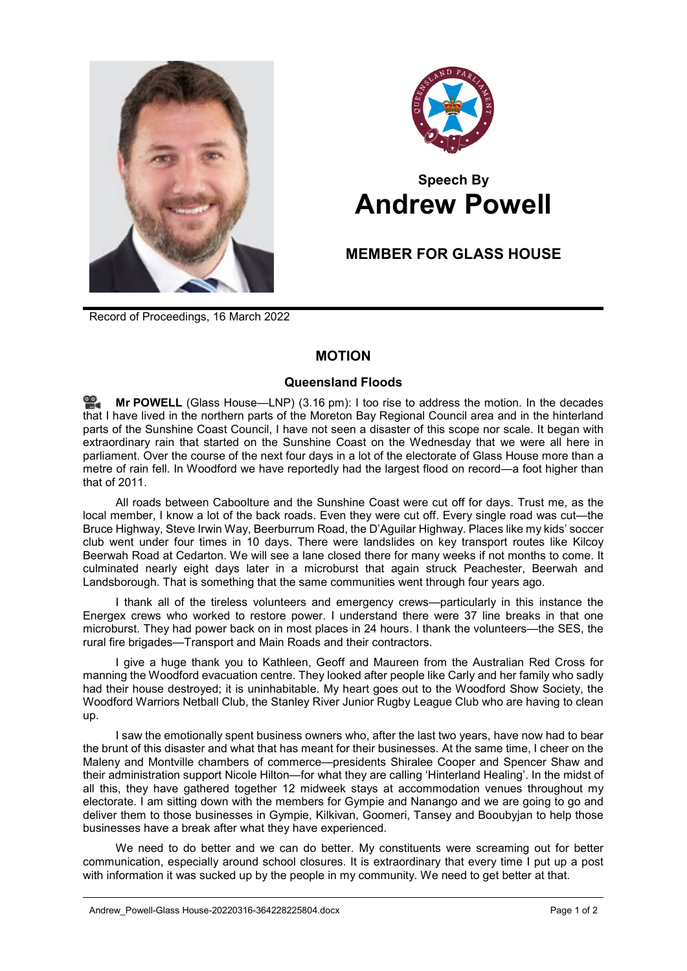



## **Speech By Andrew Powell**

## **MEMBER FOR GLASS HOUSE**

Record of Proceedings, 16 March 2022

## **MOTION**

## **Queensland Floods**

**Mr [POWELL](http://www.parliament.qld.gov.au/docs/find.aspx?id=0Mba20220316_151709)** (Glass House—LNP) (3.16 pm): I too rise to address the motion. In the decades that I have lived in the northern parts of the Moreton Bay Regional Council area and in the hinterland parts of the Sunshine Coast Council, I have not seen a disaster of this scope nor scale. It began with extraordinary rain that started on the Sunshine Coast on the Wednesday that we were all here in parliament. Over the course of the next four days in a lot of the electorate of Glass House more than a metre of rain fell. In Woodford we have reportedly had the largest flood on record—a foot higher than that of 2011.

All roads between Caboolture and the Sunshine Coast were cut off for days. Trust me, as the local member, I know a lot of the back roads. Even they were cut off. Every single road was cut—the Bruce Highway, Steve Irwin Way, Beerburrum Road, the D'Aguilar Highway. Places like my kids' soccer club went under four times in 10 days. There were landslides on key transport routes like Kilcoy Beerwah Road at Cedarton. We will see a lane closed there for many weeks if not months to come. It culminated nearly eight days later in a microburst that again struck Peachester, Beerwah and Landsborough. That is something that the same communities went through four years ago.

I thank all of the tireless volunteers and emergency crews—particularly in this instance the Energex crews who worked to restore power. I understand there were 37 line breaks in that one microburst. They had power back on in most places in 24 hours. I thank the volunteers—the SES, the rural fire brigades—Transport and Main Roads and their contractors.

I give a huge thank you to Kathleen, Geoff and Maureen from the Australian Red Cross for manning the Woodford evacuation centre. They looked after people like Carly and her family who sadly had their house destroyed; it is uninhabitable. My heart goes out to the Woodford Show Society, the Woodford Warriors Netball Club, the Stanley River Junior Rugby League Club who are having to clean up.

I saw the emotionally spent business owners who, after the last two years, have now had to bear the brunt of this disaster and what that has meant for their businesses. At the same time, I cheer on the Maleny and Montville chambers of commerce—presidents Shiralee Cooper and Spencer Shaw and their administration support Nicole Hilton—for what they are calling 'Hinterland Healing'. In the midst of all this, they have gathered together 12 midweek stays at accommodation venues throughout my electorate. I am sitting down with the members for Gympie and Nanango and we are going to go and deliver them to those businesses in Gympie, Kilkivan, Goomeri, Tansey and Booubyjan to help those businesses have a break after what they have experienced.

We need to do better and we can do better. My constituents were screaming out for better communication, especially around school closures. It is extraordinary that every time I put up a post with information it was sucked up by the people in my community. We need to get better at that.